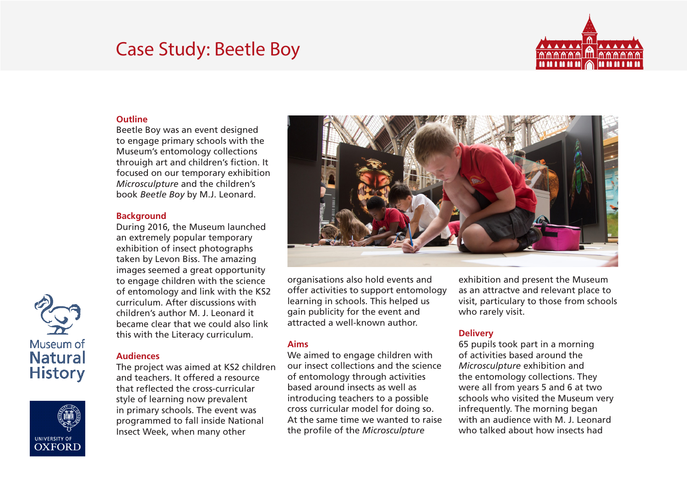# Case Study: Beetle Boy



#### **Outline**

Beetle Boy was an event designed to engage primary schools with the Museum's entomology collections throuigh art and children's fiction. It focused on our temporary exhibition *Microsculpture* and the children's book *Beetle Boy* by M.J. Leonard.

#### **Background**

During 2016, the Museum launched an extremely popular temporary exhibition of insect photographs taken by Levon Biss. The amazing images seemed a great opportunity to engage children with the science of entomology and link with the KS2 curriculum. After discussions with children's author M. J. Leonard it became clear that we could also link this with the Literacy curriculum.

# **Audiences**

The project was aimed at KS2 children and teachers. It offered a resource that reflected the cross-curricular style of learning now prevalent in primary schools. The event was programmed to fall inside National Insect Week, when many other



organisations also hold events and offer activities to support entomology learning in schools. This helped us gain publicity for the event and attracted a well-known author.

## **Aims**

We aimed to engage children with our insect collections and the science of entomology through activities based around insects as well as introducing teachers to a possible cross curricular model for doing so. At the same time we wanted to raise the profile of the *Microsculpture* 

exhibition and present the Museum as an attractve and relevant place to visit, particulary to those from schools who rarely visit.

# **Delivery**

65 pupils took part in a morning of activities based around the *Microsculpture* exhibition and the entomology collections. They were all from years 5 and 6 at two schools who visited the Museum very infrequently. The morning began with an audience with M. J. Leonard who talked about how insects had